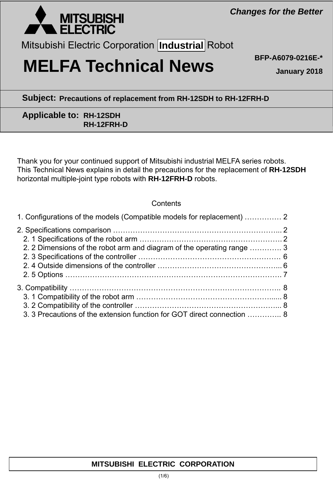

Mitsubishi Electric Corporation **Industrial** Robot

# **MELFA Technical News BFP-A6079-0216E-\***

**January 2018**

## **Subject: Precautions of replacement from RH-12SDH to RH-12FRH-D**

## **Applicable to: RH-12SDH RH-12FRH-D**

Thank you for your continued support of Mitsubishi industrial MELFA series robots. This Technical News explains in detail the precautions for the replacement of **RH-12SDH** horizontal multiple-joint type robots with **RH-12FRH-D** robots.

### **Contents**

| 1. Configurations of the models (Compatible models for replacement)  2  |  |
|-------------------------------------------------------------------------|--|
|                                                                         |  |
|                                                                         |  |
| 2. 2 Dimensions of the robot arm and diagram of the operating range  3  |  |
|                                                                         |  |
|                                                                         |  |
|                                                                         |  |
|                                                                         |  |
|                                                                         |  |
|                                                                         |  |
| 3. 3 Precautions of the extension function for GOT direct connection  8 |  |

## **MITSUBISHI ELECTRIC CORPORATION**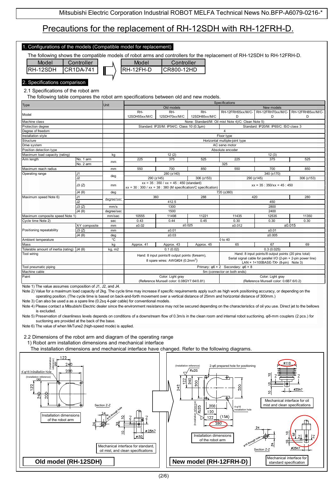# Precautions for the replacement of RH-12SDH with RH-12FRH-D.

| The following shows the compatible models of robot arms and controllers for the replacement of RH-12SDH to RH-12FRH-D.<br>Model<br>Model<br>Controller<br>Controller<br>RH-12SDH<br>CR800-12HD<br>CR1DA-741<br>RH-12FH-D                                                                                                                                                                                                                                                                                                                                                                                                                                                                                                                                                                                                                                                                                                                                                                           |                        |              |                                                                   |                                                                                                |               |                                                                                    |                                                                                                                         |                  |
|----------------------------------------------------------------------------------------------------------------------------------------------------------------------------------------------------------------------------------------------------------------------------------------------------------------------------------------------------------------------------------------------------------------------------------------------------------------------------------------------------------------------------------------------------------------------------------------------------------------------------------------------------------------------------------------------------------------------------------------------------------------------------------------------------------------------------------------------------------------------------------------------------------------------------------------------------------------------------------------------------|------------------------|--------------|-------------------------------------------------------------------|------------------------------------------------------------------------------------------------|---------------|------------------------------------------------------------------------------------|-------------------------------------------------------------------------------------------------------------------------|------------------|
| 2. Specifications comparison                                                                                                                                                                                                                                                                                                                                                                                                                                                                                                                                                                                                                                                                                                                                                                                                                                                                                                                                                                       |                        |              |                                                                   |                                                                                                |               |                                                                                    |                                                                                                                         |                  |
| 2.1 Specifications of the robot arm                                                                                                                                                                                                                                                                                                                                                                                                                                                                                                                                                                                                                                                                                                                                                                                                                                                                                                                                                                |                        |              |                                                                   |                                                                                                |               |                                                                                    |                                                                                                                         |                  |
|                                                                                                                                                                                                                                                                                                                                                                                                                                                                                                                                                                                                                                                                                                                                                                                                                                                                                                                                                                                                    |                        |              |                                                                   |                                                                                                |               |                                                                                    |                                                                                                                         |                  |
| The following table compares the robot arm specifications between old and new models.<br>Specifications                                                                                                                                                                                                                                                                                                                                                                                                                                                                                                                                                                                                                                                                                                                                                                                                                                                                                            |                        |              |                                                                   |                                                                                                |               |                                                                                    |                                                                                                                         |                  |
| Type                                                                                                                                                                                                                                                                                                                                                                                                                                                                                                                                                                                                                                                                                                                                                                                                                                                                                                                                                                                               |                        | Unit         |                                                                   | Old models                                                                                     |               |                                                                                    | New models                                                                                                              |                  |
| Model                                                                                                                                                                                                                                                                                                                                                                                                                                                                                                                                                                                                                                                                                                                                                                                                                                                                                                                                                                                              |                        |              | RH-                                                               | RH-                                                                                            | RH-           | RH-12FRH55xx/M/C-                                                                  | RH-12FRH70xx/M/C-                                                                                                       | RH-12FRH85xx/M/C |
|                                                                                                                                                                                                                                                                                                                                                                                                                                                                                                                                                                                                                                                                                                                                                                                                                                                                                                                                                                                                    |                        |              | 12SDH55xx/M/C                                                     | 12SDH70xx/M/C                                                                                  | 12SDH85xx/M/C | D                                                                                  | D                                                                                                                       | D                |
| Machine class<br>Protection degree                                                                                                                                                                                                                                                                                                                                                                                                                                                                                                                                                                                                                                                                                                                                                                                                                                                                                                                                                                 |                        |              |                                                                   | Standard: IP20/M: IP54/C: Class 10 (0.3µm)                                                     |               | None: Standard/M: Oil mist Note 4)/C: Clean Note 5)                                | Standard: IP20/M: IP65/C: ISO class 3                                                                                   |                  |
| Degree of freedom                                                                                                                                                                                                                                                                                                                                                                                                                                                                                                                                                                                                                                                                                                                                                                                                                                                                                                                                                                                  |                        |              |                                                                   |                                                                                                |               | $\overline{4}$                                                                     |                                                                                                                         |                  |
| nstallation style                                                                                                                                                                                                                                                                                                                                                                                                                                                                                                                                                                                                                                                                                                                                                                                                                                                                                                                                                                                  |                        |              |                                                                   |                                                                                                |               | Floor type                                                                         |                                                                                                                         |                  |
| Structure                                                                                                                                                                                                                                                                                                                                                                                                                                                                                                                                                                                                                                                                                                                                                                                                                                                                                                                                                                                          |                        |              |                                                                   |                                                                                                |               | Horizontal multiple-joint type                                                     |                                                                                                                         |                  |
| Drive system                                                                                                                                                                                                                                                                                                                                                                                                                                                                                                                                                                                                                                                                                                                                                                                                                                                                                                                                                                                       |                        |              |                                                                   |                                                                                                |               | AC servo motor                                                                     |                                                                                                                         |                  |
| Position detection type                                                                                                                                                                                                                                                                                                                                                                                                                                                                                                                                                                                                                                                                                                                                                                                                                                                                                                                                                                            |                        |              |                                                                   |                                                                                                |               | Absolute encoder                                                                   |                                                                                                                         |                  |
| Maximum load capacity (rating)                                                                                                                                                                                                                                                                                                                                                                                                                                                                                                                                                                                                                                                                                                                                                                                                                                                                                                                                                                     |                        | kg           |                                                                   | 12(2)                                                                                          |               |                                                                                    | 12(3)                                                                                                                   |                  |
| Arm length                                                                                                                                                                                                                                                                                                                                                                                                                                                                                                                                                                                                                                                                                                                                                                                                                                                                                                                                                                                         | No. 1 arm<br>No. 2 arm | mm           | 225                                                               | 375                                                                                            | 525           | 225<br>325                                                                         | 375                                                                                                                     | 525              |
| Maximum reach radius                                                                                                                                                                                                                                                                                                                                                                                                                                                                                                                                                                                                                                                                                                                                                                                                                                                                                                                                                                               |                        | mm           | 550                                                               | 700                                                                                            | 850           | 550                                                                                | 700                                                                                                                     | 850              |
| Operating range<br>J1                                                                                                                                                                                                                                                                                                                                                                                                                                                                                                                                                                                                                                                                                                                                                                                                                                                                                                                                                                              |                        |              |                                                                   | 280 (±140)                                                                                     |               |                                                                                    | 340 (±170)                                                                                                              |                  |
|                                                                                                                                                                                                                                                                                                                                                                                                                                                                                                                                                                                                                                                                                                                                                                                                                                                                                                                                                                                                    | J2                     | deg          | 290 (±145)<br>306 (±153)                                          |                                                                                                |               | 306 (±153)<br>290 (±145)                                                           |                                                                                                                         |                  |
|                                                                                                                                                                                                                                                                                                                                                                                                                                                                                                                                                                                                                                                                                                                                                                                                                                                                                                                                                                                                    | J3(Z)                  | mm           | $xx = 35 : 350 / xx = 45 : 450$ (standard)                        |                                                                                                |               | $xx = 35 : 350/xx = 45 : 450$                                                      |                                                                                                                         |                  |
|                                                                                                                                                                                                                                                                                                                                                                                                                                                                                                                                                                                                                                                                                                                                                                                                                                                                                                                                                                                                    |                        |              | $xx = 30 : 300 / xx = 38 : 380$ (M specification/C specification) |                                                                                                |               |                                                                                    |                                                                                                                         |                  |
|                                                                                                                                                                                                                                                                                                                                                                                                                                                                                                                                                                                                                                                                                                                                                                                                                                                                                                                                                                                                    | J4(0)                  | deg          |                                                                   |                                                                                                |               | 720 (±360)                                                                         |                                                                                                                         |                  |
| Maximum speed Note 6)                                                                                                                                                                                                                                                                                                                                                                                                                                                                                                                                                                                                                                                                                                                                                                                                                                                                                                                                                                              | J1<br>J2               | degree/sec   | 360<br>288<br>412.5                                               |                                                                                                |               |                                                                                    | 420<br>450                                                                                                              | 280              |
|                                                                                                                                                                                                                                                                                                                                                                                                                                                                                                                                                                                                                                                                                                                                                                                                                                                                                                                                                                                                    | J3(Z)                  | mm/s         | 1300                                                              |                                                                                                | 2800          |                                                                                    |                                                                                                                         |                  |
|                                                                                                                                                                                                                                                                                                                                                                                                                                                                                                                                                                                                                                                                                                                                                                                                                                                                                                                                                                                                    | J4(0)                  | degree/sec   |                                                                   | 1500                                                                                           |               |                                                                                    | 2400                                                                                                                    |                  |
| Maximum composite speed Note 1)                                                                                                                                                                                                                                                                                                                                                                                                                                                                                                                                                                                                                                                                                                                                                                                                                                                                                                                                                                    |                        | mm/sec       | 10555                                                             | 11498                                                                                          | 11221         | 11435                                                                              | 12535                                                                                                                   | 11350            |
| Cycle time Note 2)                                                                                                                                                                                                                                                                                                                                                                                                                                                                                                                                                                                                                                                                                                                                                                                                                                                                                                                                                                                 |                        | sec          | 0.43                                                              | 0.44                                                                                           | 0.45          | 0.30                                                                               | 0.30                                                                                                                    | 0.30             |
|                                                                                                                                                                                                                                                                                                                                                                                                                                                                                                                                                                                                                                                                                                                                                                                                                                                                                                                                                                                                    | X-Y composite          | mm           | ±0.02                                                             |                                                                                                | ±0.025        | ±0.012                                                                             |                                                                                                                         | ±0.015           |
| Positioning repeatability                                                                                                                                                                                                                                                                                                                                                                                                                                                                                                                                                                                                                                                                                                                                                                                                                                                                                                                                                                          | J3(Z)                  | mm           |                                                                   | ±0.01                                                                                          |               | ±0.01                                                                              |                                                                                                                         |                  |
|                                                                                                                                                                                                                                                                                                                                                                                                                                                                                                                                                                                                                                                                                                                                                                                                                                                                                                                                                                                                    | J4(0)                  | deg          |                                                                   | ±0.03                                                                                          |               | ±0.005                                                                             |                                                                                                                         |                  |
| Ambient temperature                                                                                                                                                                                                                                                                                                                                                                                                                                                                                                                                                                                                                                                                                                                                                                                                                                                                                                                                                                                |                        | °C           |                                                                   |                                                                                                |               | 0 to 40                                                                            |                                                                                                                         |                  |
| Mass<br>Tolerable amount of inertia (rating) $J4(\theta)$                                                                                                                                                                                                                                                                                                                                                                                                                                                                                                                                                                                                                                                                                                                                                                                                                                                                                                                                          |                        | kg<br>kg, m2 | Approx. 41                                                        | Approx. 43<br>0.1(0.02)                                                                        | Approx. 45    | 65                                                                                 | 67<br>0.3(0.025)                                                                                                        | 69               |
| Tool wiring                                                                                                                                                                                                                                                                                                                                                                                                                                                                                                                                                                                                                                                                                                                                                                                                                                                                                                                                                                                        |                        |              |                                                                   | Hand: 8 input points/8 output points (forearm),<br>8 spare wires: AWG#24 (0.2mm <sup>2</sup> ) |               |                                                                                    | Hand: 8 input points/8 output points (20 pins total)<br>Serial signal cable for parallel I/O (2-pin + 2-pin power line) |                  |
|                                                                                                                                                                                                                                                                                                                                                                                                                                                                                                                                                                                                                                                                                                                                                                                                                                                                                                                                                                                                    |                        |              |                                                                   |                                                                                                |               |                                                                                    | LAN × 1<100BASE-TX> (8-pin) Note 3)                                                                                     |                  |
| Tool pneumatic piping<br>Machine cable                                                                                                                                                                                                                                                                                                                                                                                                                                                                                                                                                                                                                                                                                                                                                                                                                                                                                                                                                             |                        |              |                                                                   |                                                                                                |               | Primary: $\varphi$ 6 × 2 Secondary: $\varphi$ 6 × 8<br>5m (connector on both ends) |                                                                                                                         |                  |
| Paint                                                                                                                                                                                                                                                                                                                                                                                                                                                                                                                                                                                                                                                                                                                                                                                                                                                                                                                                                                                              |                        |              |                                                                   | Color: Light gray                                                                              |               |                                                                                    | Color: Light gray                                                                                                       |                  |
|                                                                                                                                                                                                                                                                                                                                                                                                                                                                                                                                                                                                                                                                                                                                                                                                                                                                                                                                                                                                    |                        |              |                                                                   | (Reference Munsell color: 0.08GY7.64/0.81)                                                     |               |                                                                                    | (Reference Munsell color: 0.6B7.6/0.2)                                                                                  |                  |
| Note 1) The value assumes composition of J1, J2, and J4.<br>Note 2) Value for a maximum load capacity of 2kg. The cycle time may increase if specific requirements apply such as high work positioning accuracy, or depending on the<br>operating position. (The cycle time is based on back-and-forth movement over a vertical distance of 25mm and horizontal distance of 300mm.)<br>Note 3) Can also be used a as a spare line (0.2sq 4-pair cable) for conventional models.<br>Note 4) Please contact a Mitsubishi Electric dealer since the environment resistance may not be secured depending on the characteristics of oil you use. Direct jet to the bellows<br>is excluded.<br>Note 5) Preservation of cleanliness levels depends on conditions of a downstream flow of 0.3m/s in the clean room and internal robot suctioning. $\phi$ 8-mm couplers (2 pcs.) for<br>suctioning are provided at the back of the base.<br>Note 6) The value of when MvTune2 (high-speed mode) is applied. |                        |              |                                                                   |                                                                                                |               |                                                                                    |                                                                                                                         |                  |

1) Robot arm installation dimensions and mechanical interface

The installation dimensions and mechanical interface have changed. Refer to the following diagrams.

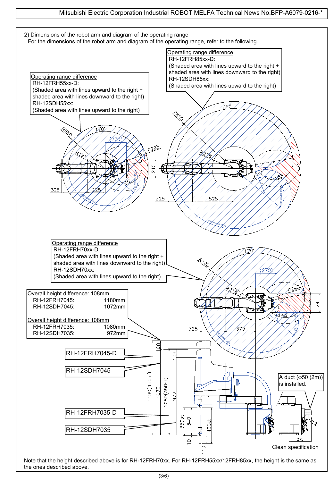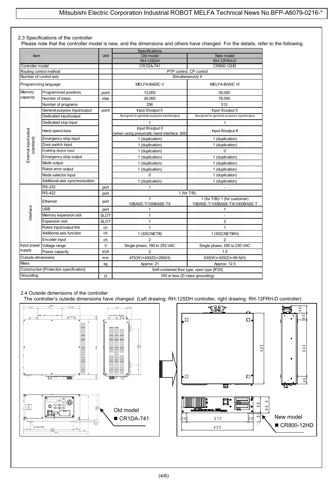#### 2.3 Specifications of the controller

Please note that the controller model is new, and the dimensions and others have changed. For the details, refer to the following.

| Item                              |                                         |             | Specifications                                                 |                                                                 |  |  |
|-----------------------------------|-----------------------------------------|-------------|----------------------------------------------------------------|-----------------------------------------------------------------|--|--|
|                                   |                                         | Unit        | Old model                                                      | New model                                                       |  |  |
|                                   |                                         |             | RH-12SDH                                                       | RH-12FRH-D                                                      |  |  |
| Controller model                  |                                         | CR1DA-741   |                                                                | CR800-12HD                                                      |  |  |
| Routing control method            |                                         |             | PTP control, CP control                                        |                                                                 |  |  |
| Number of control axis            |                                         |             | Simultaneously 4                                               |                                                                 |  |  |
|                                   | Programming language                    |             | <b>MELFA-BASIC V</b>                                           | <b>MELFA-BASIC VI</b>                                           |  |  |
| Memory                            | Programmed positions                    | point       | 13,000                                                         | 39.000                                                          |  |  |
| capacity                          | Number of steps                         | step        | 26.000                                                         | 78,000                                                          |  |  |
|                                   | Number of programs                      |             | 256                                                            | 512                                                             |  |  |
|                                   | General-purpose input/output            | point       | Input 0/output 0                                               | Input 0/output 0                                                |  |  |
|                                   | Dedicated input/output                  |             | Assigned to general-purpose input/output                       | Assigned to general-purpose input/output                        |  |  |
|                                   | Dedicated stop input                    |             | 1                                                              | 1                                                               |  |  |
| External input/output             | Hand open/close                         |             | Input 8/output 0<br>(when using pneumatic hand interface: 8/8) | Input 8/output 8                                                |  |  |
|                                   | Emergency stop input                    |             | 1 (duplication)                                                | 1 (duplication)                                                 |  |  |
|                                   | Door switch input                       |             | 1 (duplication)                                                | 1 (duplication)                                                 |  |  |
| (standard)                        | Enabling device input                   |             | 1 (duplication)                                                | 0                                                               |  |  |
|                                   | Emergency stop output                   |             | 1 (duplication)                                                | 1 (duplication)                                                 |  |  |
| Mode output<br>Robot error output |                                         |             | 1 (duplication)                                                | 1 (duplication)                                                 |  |  |
|                                   |                                         |             | 1 (duplication)                                                | 1 (duplication)                                                 |  |  |
|                                   | Mode selector input                     |             | $\Omega$                                                       | 1 (duplication)                                                 |  |  |
|                                   | Additional axis synchronization         |             | 1 (duplication)                                                | 1 (duplication)                                                 |  |  |
|                                   | <b>RS-232</b>                           | port        | 1                                                              |                                                                 |  |  |
|                                   | <b>RS-422</b>                           | port        | 1 (for $T/B$ )                                                 |                                                                 |  |  |
|                                   | Ethernet                                | port        | $\mathbf{1}$<br>10BASE-T/100BASE-TX                            | 1 (for T/B)/ 1 (for customer)<br>10BASE-T/100BASE-TX/1000BASE-T |  |  |
|                                   | USB                                     | port        | 1                                                              | 1                                                               |  |  |
| Interface                         | Memory expansion slot                   | <b>SLOT</b> | $\mathbf{1}$                                                   |                                                                 |  |  |
|                                   | <b>Expansion slot</b>                   | <b>SLOT</b> | $\mathbf{1}$                                                   | $\overline{2}$                                                  |  |  |
|                                   | Robot input/output link                 | ch          | $\mathbf{1}$                                                   | 1                                                               |  |  |
|                                   | Additional axis function                | ch          | 1 (SSCNETIII)                                                  | 1 (SSCNETII/H)                                                  |  |  |
|                                   | Encoder input                           | ch          | $\overline{2}$                                                 | $\overline{2}$                                                  |  |  |
| Input power                       | Voltage range                           | V           | Single phase, 180 to 253 VAC                                   | Single phase, 200 to 230 VAC                                    |  |  |
| supply                            | Power capacity<br>kVA                   |             | $\overline{2}$                                                 | 1.5                                                             |  |  |
| Outside dimensions                |                                         | mm          | 470(W)×400(D)×200(H)                                           | 430(W)×425(D)×99.5(H)                                           |  |  |
| Mass                              |                                         | kg          | Approx. 21                                                     | Approx. 12.5                                                    |  |  |
|                                   | Construction [Protection specification] |             | Self-contained floor type, open type [IP20]                    |                                                                 |  |  |
| Grounding                         | 100 or less (D class grounding)<br>Ω    |             |                                                                |                                                                 |  |  |

#### 2.4 Outside dimensions of the controller

The controller's outside dimensions have changed. (Left drawing: RH-12SDH controller, right drawing: RH-12FRH-D controller)

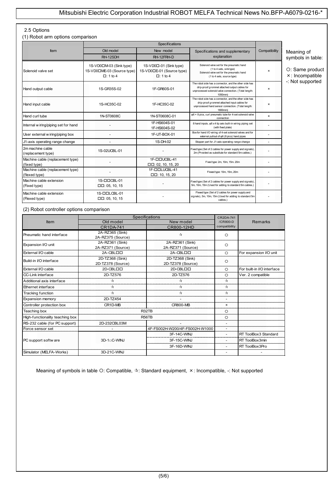#### 2.5 Options

(1) Robot arm options comparison

| Item                                              | Old model<br>New model<br>Specifications and supplementary<br>explanation<br>RH-12SDH<br>RH-12FRH-D |                                                                        | Compatibility                                                                                                                                                               | Meaning of<br>symbols in table: |                                    |
|---------------------------------------------------|-----------------------------------------------------------------------------------------------------|------------------------------------------------------------------------|-----------------------------------------------------------------------------------------------------------------------------------------------------------------------------|---------------------------------|------------------------------------|
| Solenoid valve set                                | 1S-VD0□M-03 (Sink type)<br>1S-VD0□ME-03 (Source type)<br>$\Box$ : 1 to 4                            | 1S-VD0□-01 (Sink type)<br>1S-VD0□E-01 (Source type)<br>$\Box$ : 1 to 4 | Solenoid valve set for the pneumatic hand<br>(1 to 4 sets, sink type)<br>Solenoid valve set for the pneumatic hand<br>(1 to 4 sets, source type)                            | $\boldsymbol{\mathsf{x}}$       | O: Same product<br>×: Incompatible |
| Hand output cable                                 | 1S-GR35S-02                                                                                         | 1F-GR60S-01                                                            | The robot side has a connector, and the other side has<br>drip-proof grommet attached output cables for<br>unprocessed solenoid valve connection. (Total length:<br>1050mm) | $\boldsymbol{\mathsf{x}}$       | -: Not supported                   |
| Hand input cable                                  | 1S-HC35C-02                                                                                         | 1F-HC35C-02                                                            | The robot side has a connector, and the other side has<br>drip-proof grommet attached input cables for<br>unprocessed hand sensor connection. (Total length:<br>1800mm)     | $\boldsymbol{\mathsf{x}}$       |                                    |
| Hand curl tube                                    | 1N-ST0608C                                                                                          | 1N-ST0608C-01                                                          | φ6 × 8 pics, curl pneumatic tube for 4-set solenoid valve<br>connection                                                                                                     | ×                               |                                    |
| Internal w iring/piping set for hand              |                                                                                                     | 1F-HS604S-01<br>1F-HS604S-02                                           | 8 hand inputs, $\varphi$ 6 x 4 tip axis built-in wiring piping set<br>(with fixed plate)                                                                                    |                                 |                                    |
| User external w iring/piping box                  |                                                                                                     | 1F-UT-BOX-01                                                           | Box for hand I/O wiring of 4-set solenoid valves and for<br>external pullout of $\varphi$ 6 (8 pics) hand pipes                                                             |                                 |                                    |
| J1-axis operating range change                    |                                                                                                     | 1S-DH-02                                                               | Stopper part for J1-axis operating range change                                                                                                                             |                                 |                                    |
| 2m machine cable<br>(replacement type)            | 1S-02UCBL-01                                                                                        |                                                                        | Fixed type (Set of 2 cables for power supply and signals).<br>2m (Provided as substitute for standard 5m cables.)                                                           |                                 |                                    |
| Machine cable (replacement type)<br>(fixed type)  |                                                                                                     | 1F-DDUCBL-41<br>$\Box$ $\Box$ : 02, 10, 15, 20                         | Fixed type: 2m, 10m, 15m. 20m                                                                                                                                               |                                 |                                    |
| Machine cable (replacement type)<br>(flexed type) |                                                                                                     | 1F-DDLUCBL-41<br>$\Box$ $\Box$ : 10, 15, 20                            | Flexed type: 10m, 15m, 20m                                                                                                                                                  |                                 |                                    |
| Machine cable extension<br>(Fixed type)           | 1S-DDCBL-01<br>$\Box$ $\Box$ : 05, 10, 15                                                           |                                                                        | Fixed type (Set of 2 cables for power supply and signals),<br>5m, 10m, 15m (Used for adding to standard 5m cables.)                                                         |                                 |                                    |
| Machine cable extension<br>(Flexed type)          | 1S-ODLCBL-01<br>$\Box$ $\Box$ : 05, 10, 15                                                          |                                                                        | Flexed type (Set of 2 cables for power supply and<br>signals), 5m, 10m, 15m (Used for adding to standard 5m<br>cables.)                                                     |                                 |                                    |

(2) Robot controller options comparison

|                                 | Specifications<br><b>CR2DA-741</b> |                                   |                                   |                            |
|---------------------------------|------------------------------------|-----------------------------------|-----------------------------------|----------------------------|
| <b>Item</b>                     | Old model                          | New model                         | /CR800-D                          | <b>Remarks</b>             |
|                                 | <b>CR1DA-741</b>                   | CR800-12HD                        | compatibility                     |                            |
| Pneumatic hand interface        | 2A-RZ365 (Sink)                    | $\tau_{\mathcal{X}}^{\mathbf{t}}$ | $\circ$                           |                            |
|                                 | 2A-RZ375 (Source)                  |                                   |                                   |                            |
| Expansion VO unit               | 2A-RZ361 (Sink)                    | 2A-RZ361 (Sink)                   | $\circ$                           |                            |
|                                 | 2A-RZ371 (Source)                  | 2A-RZ371 (Source)                 |                                   |                            |
| External I/O cable              | 2A-CBLOO                           | 2A-CBLOO                          | $\circ$                           | For expansion I/O unit     |
| Build-in I/O interface          | 2D-TZ368 (Sink)                    | 2D-TZ368 (Sink)                   | $\circ$                           |                            |
|                                 | 2D-TZ378 (Source)                  | 2D-TZ378 (Source)                 |                                   |                            |
| External I/O cable              | 2D-CBLOO                           | 2D-CBLOO                          | $\circ$                           | For built-in I/O interface |
| CC-Link interface               | 2D-TZ576                           | 2D-TZ576                          | $\circ$                           | Ver. 2 compatible          |
| Additional axis interface       | ☆                                  | ☆                                 | $\tau_{\mathcal{X}}^{\mathbf{A}}$ |                            |
| Ethernet interface              | ☆                                  | ☆                                 | ☆                                 |                            |
| <b>Tracking function</b>        | $\tau_{\mathbf{x}}^{\mathbf{A}}$   | $\tau_{\mathcal{X}}^{\mathbf{t}}$ | $\tau_{\mathcal{X}}^{\mathbf{A}}$ |                            |
| Expansion memory                | 2D-TZ454                           |                                   | $\overline{\phantom{a}}$          |                            |
| Controller protection box       | CR1D-MB                            | <b>CR800-MB</b>                   | $\times$                          |                            |
| Teaching box                    |                                    | R32TB                             | $\circ$                           |                            |
| High-functionality teaching box |                                    | <b>R56TB</b>                      | $\circ$                           |                            |
| RS-232 cable (for PC support)   | 2D-232CBL03M                       |                                   |                                   |                            |
| Force sensor set                |                                    | 4F-FS002H-W200/4F-FS002H-W1000    | $\overline{\phantom{a}}$          |                            |
|                                 |                                    | 3F-14C-WINJ                       | $\overline{\phantom{a}}$          | RT ToolBox3 Standard       |
| PC support softw are            | 3D-1 <sub>0</sub> C-WINJ           | 3F-15C-WINJ                       | ٠                                 | RT ToolBox3min             |
|                                 |                                    | 3F-16D-WINJ                       |                                   | RT ToolBox3Pro             |
| Simulator (MELFA-Works)         | 3D-21C-WINJ                        |                                   |                                   |                            |

Meaning of symbols in table O: Compatible,  $\forall$ : Standard equipment,  $\times$ : Incompatible, -: Not supported